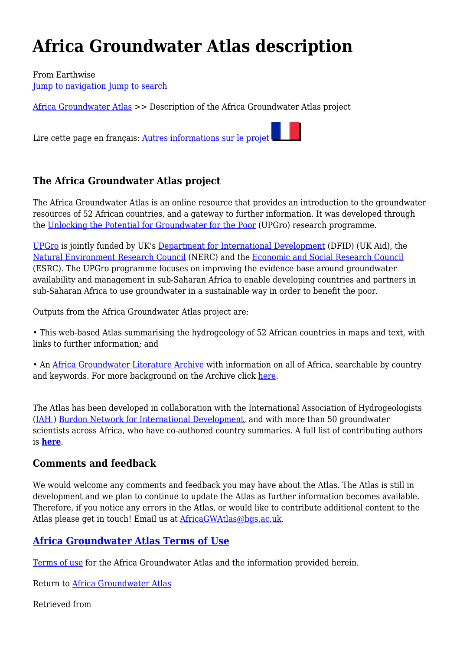# **Africa Groundwater Atlas description**

From Earthwise [Jump to navigation](#page--1-0) [Jump to search](#page--1-0)

[Africa Groundwater Atlas](http://earthwise.bgs.ac.uk/index.php/Africa_Groundwater_Atlas_Home) >> Description of the Africa Groundwater Atlas project

Lire cette page en français: [Autres informations sur le projet](http://earthwise.bgs.ac.uk/index.php/Description_Atlas_Eaux_Souterraines_Afrique)

## **The Africa Groundwater Atlas project**

The Africa Groundwater Atlas is an online resource that provides an introduction to the groundwater resources of 52 African countries, and a gateway to further information. It was developed through the [Unlocking the Potential for Groundwater for the Poor](http://upgro.org/) (UPGro) research programme.

[UPGro](http://upgro.org/) is jointly funded by UK's [Department for International Development](https://www.gov.uk/government/organisations/department-for-international-development) (DFID) (UK Aid), the [Natural Environment Research Council](http://www.nerc.ac.uk/) (NERC) and the [Economic and Social Research Council](http://www.esrc.ac.uk/) (ESRC). The UPGro programme focuses on improving the evidence base around groundwater availability and management in sub-Saharan Africa to enable developing countries and partners in sub-Saharan Africa to use groundwater in a sustainable way in order to benefit the poor.

Outputs from the Africa Groundwater Atlas project are:

• This web-based Atlas summarising the hydrogeology of 52 African countries in maps and text, with links to further information; and

• An [Africa Groundwater Literature Archive](http://www.bgs.ac.uk/africagroundwateratlas/index.cfm) with information on all of Africa, searchable by country and keywords. For more background on the Archive click [here](http://www.bgs.ac.uk/research/groundwater/international/africaGwAtlasArchive.html).

The Atlas has been developed in collaboration with the International Association of Hydrogeologists [\(IAH](https://iah.org/) ) [Burdon Network for International Development,](https://burdon.iah.org/) and with more than 50 groundwater scientists across Africa, who have co-authored country summaries. A full list of contributing authors is **[here](http://earthwise.bgs.ac.uk/index.php/List_of_Authors)**.

#### **Comments and feedback**

We would welcome any comments and feedback you may have about the Atlas. The Atlas is still in development and we plan to continue to update the Atlas as further information becomes available. Therefore, if you notice any errors in the Atlas, or would like to contribute additional content to the Atlas please get in touch! Email us at **AfricaGWAtlas@bgs.ac.uk.** 

#### **[Africa Groundwater Atlas Terms of Use](http://earthwise.bgs.ac.uk/index.php/Africa_Groundwater_Atlas_Terms_of_Use)**

[Terms of use](http://earthwise.bgs.ac.uk/index.php/Africa_Groundwater_Atlas_Terms_of_Use) for the Africa Groundwater Atlas and the information provided herein.

Return to [Africa Groundwater Atlas](http://earthwise.bgs.ac.uk/index.php/Africa_Groundwater_Atlas_Home)

Retrieved from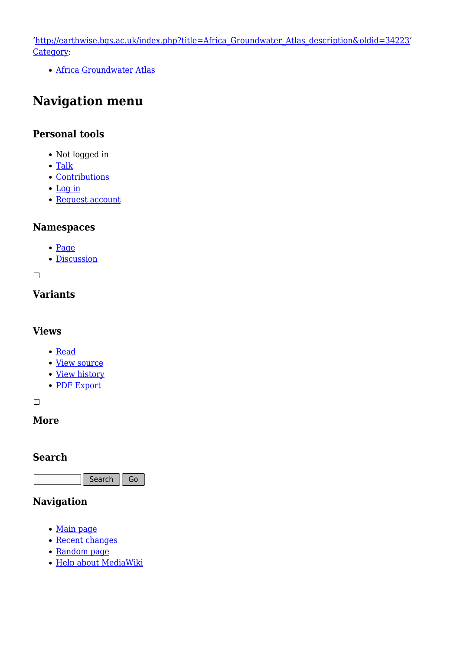'[http://earthwise.bgs.ac.uk/index.php?title=Africa\\_Groundwater\\_Atlas\\_description&oldid=34223](http://earthwise.bgs.ac.uk/index.php?title=Africa_Groundwater_Atlas_description&oldid=34223)' [Category](http://earthwise.bgs.ac.uk/index.php/Special:Categories):

[Africa Groundwater Atlas](http://earthwise.bgs.ac.uk/index.php/Category:Africa_Groundwater_Atlas)

# **Navigation menu**

#### **Personal tools**

- Not logged in
- [Talk](http://earthwise.bgs.ac.uk/index.php/Special:MyTalk)
- [Contributions](http://earthwise.bgs.ac.uk/index.php/Special:MyContributions)
- [Log in](http://earthwise.bgs.ac.uk/index.php?title=Special:UserLogin&returnto=Africa+Groundwater+Atlas+description&returntoquery=action%3Dmpdf)
- [Request account](http://earthwise.bgs.ac.uk/index.php/Special:RequestAccount)

#### **Namespaces**

- [Page](http://earthwise.bgs.ac.uk/index.php/Africa_Groundwater_Atlas_description)
- [Discussion](http://earthwise.bgs.ac.uk/index.php?title=Talk:Africa_Groundwater_Atlas_description&action=edit&redlink=1)

 $\Box$ 

#### **Variants**

#### **Views**

- [Read](http://earthwise.bgs.ac.uk/index.php/Africa_Groundwater_Atlas_description)
- [View source](http://earthwise.bgs.ac.uk/index.php?title=Africa_Groundwater_Atlas_description&action=edit)
- [View history](http://earthwise.bgs.ac.uk/index.php?title=Africa_Groundwater_Atlas_description&action=history)
- [PDF Export](http://earthwise.bgs.ac.uk/index.php?title=Africa_Groundwater_Atlas_description&action=mpdf)

 $\Box$ 

## **More**

#### **Search**

Search Go

# **Navigation**

- [Main page](http://earthwise.bgs.ac.uk/index.php/Main_Page)
- [Recent changes](http://earthwise.bgs.ac.uk/index.php/Special:RecentChanges)
- [Random page](http://earthwise.bgs.ac.uk/index.php/Special:Random)
- [Help about MediaWiki](https://www.mediawiki.org/wiki/Special:MyLanguage/Help:Contents)